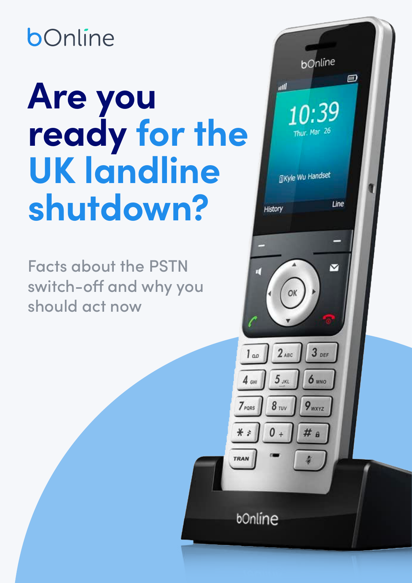## bOnline

# **Are you ready for the UK landline shutdown?**

Facts about the PSTN switch-off and why you should act now

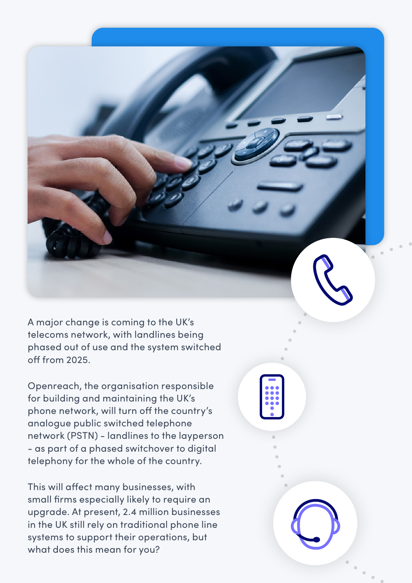A major change is coming to the UK's telecoms network, with landlines being phased out of use and the system switched off from 2025.

Openreach, the organisation responsible for building and maintaining the UK's phone network, will turn off the country's analogue public switched telephone network (PSTN) - landlines to the layperson - as part of a phased switchover to digital telephony for the whole of the country.

This will affect many businesses, with small firms especially likely to require an upgrade. At present, 2.4 million businesses in the UK still rely on traditional phone line systems to support their operations, but what does this mean for you?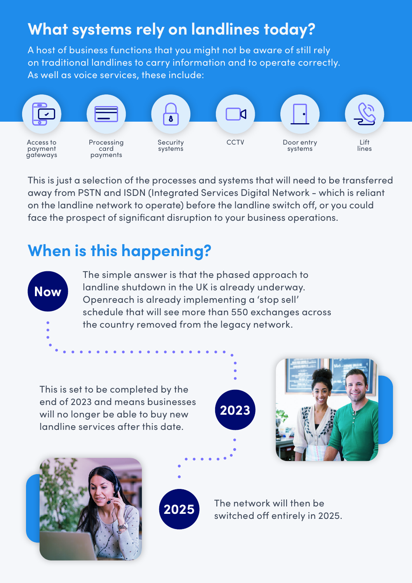#### **What systems rely on landlines today?**

A host of business functions that you might not be aware of still rely on traditional landlines to carry information and to operate correctly. As well as voice services, these include:



This is just a selection of the processes and systems that will need to be transferred away from PSTN and ISDN (Integrated Services Digital Network - which is reliant on the landline network to operate) before the landline switch off, or you could face the prospect of significant disruption to your business operations.

#### **When is this happening?**



The simple answer is that the phased approach to landline shutdown in the UK is already underway. Openreach is already implementing a 'stop sell' schedule that will see more than 550 exchanges across the country removed from the legacy network.

This is set to be completed by the end of 2023 and means businesses will no longer be able to buy new landline services after this date.









The network will then be switched off entirely in 2025.